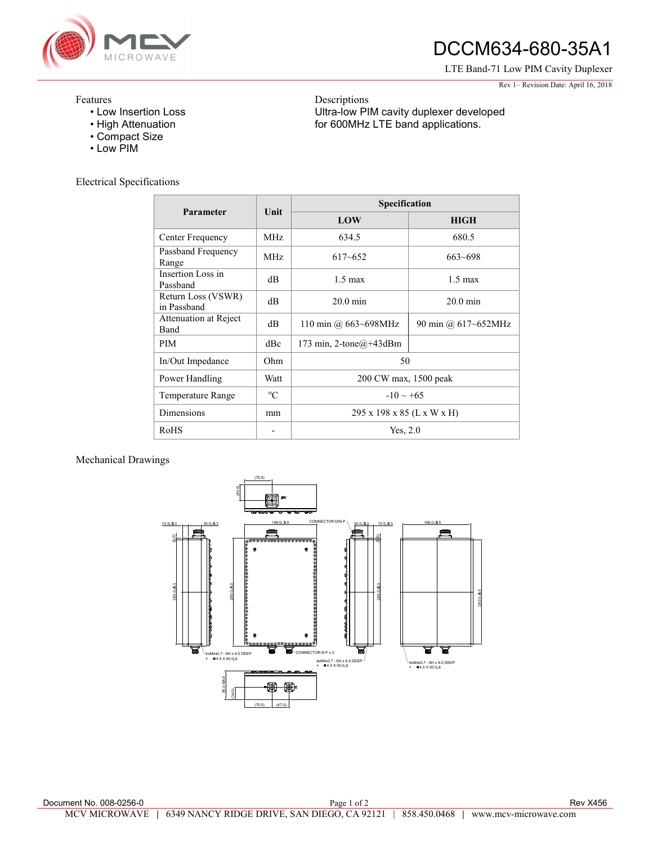

## DCCM634-680-35A1

LTE Band-71 Low PIM Cavity Duplexer

Rev 1– Revision Date: April 16, 2018

## Features

- Low Insertion Loss
- High Attenuation
- Compact Size
- Low PIM

Electrical Specifications

| Parameter                            | Unit        | Specification              |                     |
|--------------------------------------|-------------|----------------------------|---------------------|
|                                      |             | LOW                        | <b>HIGH</b>         |
| Center Frequency                     | MHz.        | 634.5                      | 680.5               |
| Passband Frequency<br>Range          | <b>MHz</b>  | $617 - 652$                | $663 - 698$         |
| Insertion Loss in<br>Passband        | dB          | $1.5 \text{ max}$          | $1.5 \text{ max}$   |
| Return Loss (VSWR)<br>in Passband    | dB          | $20.0 \text{ min}$         | $20.0 \text{ min}$  |
| Attenuation at Reject<br><b>Band</b> | dB          | 110 min @ $663 - 698$ MHz  | 90 min @ 617~652MHz |
| <b>PIM</b>                           | dBc         | 173 min, 2-tone $@+43d$ Bm |                     |
| In/Out Impedance                     | Ohm         | 50                         |                     |
| Power Handling                       | Watt        | 200 CW max, 1500 peak      |                     |
| Temperature Range                    | $\rm ^{o}C$ | $-10 \sim +65$             |                     |
| Dimensions                           | mm          | 295 x 198 x 85 (L x W x H) |                     |
| RoHS                                 |             | Yes, 2.0                   |                     |

Descriptions

Ultra-low PIM cavity duplexer developed for 600MHz LTE band applications.

## Mechanical Drawings